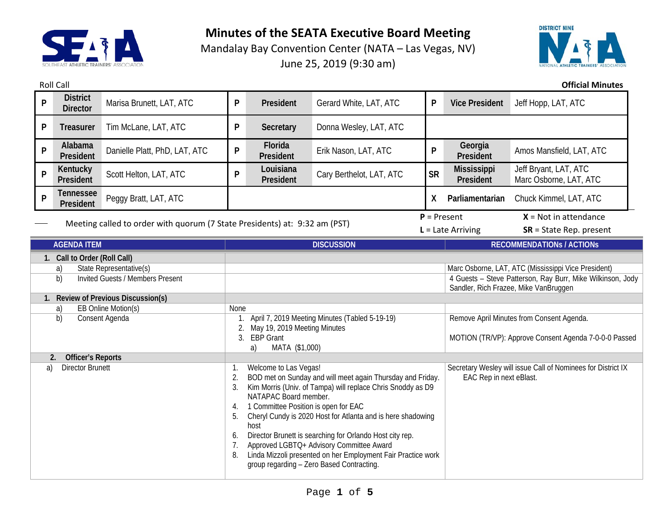

Mandalay Bay Convention Center (NATA – Las Vegas, NV) June 25, 2019 (9:30 am)



Roll Call **Official Minutes**

| P                                                                          | <b>District</b><br><b>Director</b>           | Marisa Brunett, LAT, ATC      | P                                                                                                                                                                                                                                                                                                                                                                                                                                                                                                                                                   | President              | Gerard White, LAT, ATC                                                                  | P                                                                                                   | <b>Vice President</b>           | Jeff Hopp, LAT, ATC                             |
|----------------------------------------------------------------------------|----------------------------------------------|-------------------------------|-----------------------------------------------------------------------------------------------------------------------------------------------------------------------------------------------------------------------------------------------------------------------------------------------------------------------------------------------------------------------------------------------------------------------------------------------------------------------------------------------------------------------------------------------------|------------------------|-----------------------------------------------------------------------------------------|-----------------------------------------------------------------------------------------------------|---------------------------------|-------------------------------------------------|
| P                                                                          | Treasurer                                    | Tim McLane, LAT, ATC          | P                                                                                                                                                                                                                                                                                                                                                                                                                                                                                                                                                   | Secretary              | Donna Wesley, LAT, ATC                                                                  |                                                                                                     |                                 |                                                 |
| P                                                                          | Alabama<br>President                         | Danielle Platt, PhD, LAT, ATC | P                                                                                                                                                                                                                                                                                                                                                                                                                                                                                                                                                   | Florida<br>President   | Erik Nason, LAT, ATC                                                                    | P                                                                                                   | Georgia<br>President            | Amos Mansfield, LAT, ATC                        |
| P                                                                          | Kentucky<br>President                        | Scott Helton, LAT, ATC        | P                                                                                                                                                                                                                                                                                                                                                                                                                                                                                                                                                   | Louisiana<br>President | Cary Berthelot, LAT, ATC                                                                | <b>SR</b>                                                                                           | <b>Mississippi</b><br>President | Jeff Bryant, LAT, ATC<br>Marc Osborne, LAT, ATC |
| P                                                                          | Tennessee<br>President                       | Peggy Bratt, LAT, ATC         |                                                                                                                                                                                                                                                                                                                                                                                                                                                                                                                                                     |                        |                                                                                         | X                                                                                                   | Parliamentarian                 | Chuck Kimmel, LAT, ATC                          |
|                                                                            |                                              |                               | $P = Present$                                                                                                                                                                                                                                                                                                                                                                                                                                                                                                                                       |                        |                                                                                         |                                                                                                     | $X = Not in attendance$         |                                                 |
| Meeting called to order with quorum (7 State Presidents) at: 9:32 am (PST) |                                              |                               |                                                                                                                                                                                                                                                                                                                                                                                                                                                                                                                                                     |                        |                                                                                         |                                                                                                     | $L =$ Late Arriving             | $SR = State Rep. present$                       |
| <b>AGENDA ITEM</b>                                                         |                                              |                               |                                                                                                                                                                                                                                                                                                                                                                                                                                                                                                                                                     |                        | <b>DISCUSSION</b>                                                                       |                                                                                                     |                                 | <b>RECOMMENDATIONS / ACTIONS</b>                |
|                                                                            | 1. Call to Order (Roll Call)                 |                               |                                                                                                                                                                                                                                                                                                                                                                                                                                                                                                                                                     |                        |                                                                                         |                                                                                                     |                                 |                                                 |
|                                                                            | a)                                           | State Representative(s)       |                                                                                                                                                                                                                                                                                                                                                                                                                                                                                                                                                     |                        |                                                                                         | Marc Osborne, LAT, ATC (Mississippi Vice President)                                                 |                                 |                                                 |
| <b>Invited Guests / Members Present</b><br>b)                              |                                              |                               |                                                                                                                                                                                                                                                                                                                                                                                                                                                                                                                                                     |                        |                                                                                         | 4 Guests - Steve Patterson, Ray Burr, Mike Wilkinson, Jody<br>Sandler, Rich Frazee, Mike VanBruggen |                                 |                                                 |
| 1. Review of Previous Discussion(s)                                        |                                              |                               |                                                                                                                                                                                                                                                                                                                                                                                                                                                                                                                                                     |                        |                                                                                         |                                                                                                     |                                 |                                                 |
| EB Online Motion(s)<br>a)                                                  |                                              |                               | None                                                                                                                                                                                                                                                                                                                                                                                                                                                                                                                                                |                        |                                                                                         |                                                                                                     |                                 |                                                 |
| b)<br>Consent Agenda                                                       |                                              |                               | April 7, 2019 Meeting Minutes (Tabled 5-19-19)<br>May 19, 2019 Meeting Minutes<br>2.<br>3. EBP Grant<br>a)<br>MATA (\$1,000)                                                                                                                                                                                                                                                                                                                                                                                                                        |                        |                                                                                         | Remove April Minutes from Consent Agenda.<br>MOTION (TR/VP): Approve Consent Agenda 7-0-0-0 Passed  |                                 |                                                 |
|                                                                            | <b>Officer's Reports</b><br>$\overline{2}$ . |                               |                                                                                                                                                                                                                                                                                                                                                                                                                                                                                                                                                     |                        |                                                                                         |                                                                                                     |                                 |                                                 |
| <b>Director Brunett</b><br>a)                                              |                                              |                               | Welcome to Las Vegas!<br>BOD met on Sunday and will meet again Thursday and Friday.<br>2.<br>Kim Morris (Univ. of Tampa) will replace Chris Snoddy as D9<br>3.<br>NATAPAC Board member.<br>1 Committee Position is open for EAC<br>4.<br>Cheryl Cundy is 2020 Host for Atlanta and is here shadowing<br>5.<br>host<br>Director Brunett is searching for Orlando Host city rep.<br>6.<br>Approved LGBTQ+ Advisory Committee Award<br>Linda Mizzoli presented on her Employment Fair Practice work<br>8.<br>group regarding - Zero Based Contracting. |                        | Secretary Wesley will issue Call of Nominees for District IX<br>EAC Rep in next eBlast. |                                                                                                     |                                 |                                                 |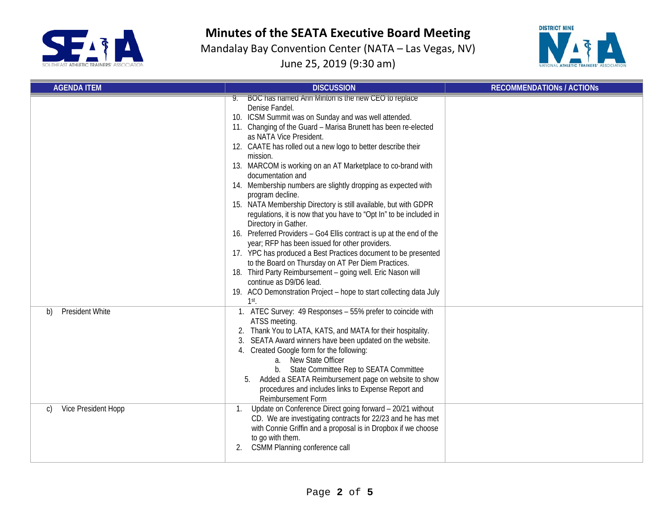

Mandalay Bay Convention Center (NATA – Las Vegas, NV) June 25, 2019 (9:30 am)



| <b>AGENDA ITEM</b>           | <b>DISCUSSION</b>                                                                                                                                                                                                                                                                                                                                                                                                                                                                                                                                                                                                                                                                                                                                                                                                                                                                                                                                                                                                                                                            | <b>RECOMMENDATIONS / ACTIONS</b> |
|------------------------------|------------------------------------------------------------------------------------------------------------------------------------------------------------------------------------------------------------------------------------------------------------------------------------------------------------------------------------------------------------------------------------------------------------------------------------------------------------------------------------------------------------------------------------------------------------------------------------------------------------------------------------------------------------------------------------------------------------------------------------------------------------------------------------------------------------------------------------------------------------------------------------------------------------------------------------------------------------------------------------------------------------------------------------------------------------------------------|----------------------------------|
|                              | BOC has named Ann Minton is the new CEO to replace<br>Denise Fandel.<br>10. ICSM Summit was on Sunday and was well attended.<br>11. Changing of the Guard - Marisa Brunett has been re-elected<br>as NATA Vice President.<br>12. CAATE has rolled out a new logo to better describe their<br>mission.<br>13. MARCOM is working on an AT Marketplace to co-brand with<br>documentation and<br>14. Membership numbers are slightly dropping as expected with<br>program decline.<br>15. NATA Membership Directory is still available, but with GDPR<br>regulations, it is now that you have to "Opt In" to be included in<br>Directory in Gather.<br>16. Preferred Providers - Go4 Ellis contract is up at the end of the<br>year; RFP has been issued for other providers.<br>17. YPC has produced a Best Practices document to be presented<br>to the Board on Thursday on AT Per Diem Practices.<br>18. Third Party Reimbursement - going well. Eric Nason will<br>continue as D9/D6 lead.<br>19. ACO Demonstration Project - hope to start collecting data July<br>$1st$ . |                                  |
| <b>President White</b><br>b) | 1. ATEC Survey: 49 Responses - 55% prefer to coincide with<br>ATSS meeting.<br>2. Thank You to LATA, KATS, and MATA for their hospitality.<br>SEATA Award winners have been updated on the website.<br>4. Created Google form for the following:<br>a. New State Officer<br>b. State Committee Rep to SEATA Committee<br>Added a SEATA Reimbursement page on website to show<br>5.<br>procedures and includes links to Expense Report and<br>Reimbursement Form                                                                                                                                                                                                                                                                                                                                                                                                                                                                                                                                                                                                              |                                  |
| Vice President Hopp<br>C)    | Update on Conference Direct going forward - 20/21 without<br>CD. We are investigating contracts for 22/23 and he has met<br>with Connie Griffin and a proposal is in Dropbox if we choose<br>to go with them.<br><b>CSMM Planning conference call</b><br>2.                                                                                                                                                                                                                                                                                                                                                                                                                                                                                                                                                                                                                                                                                                                                                                                                                  |                                  |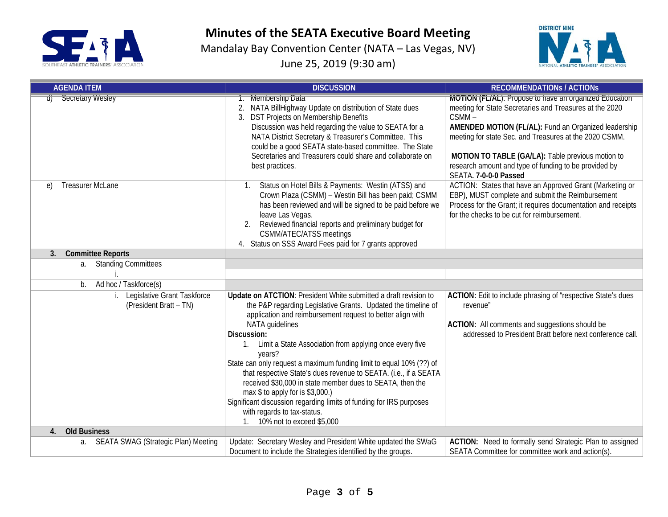

Mandalay Bay Convention Center (NATA – Las Vegas, NV) June 25, 2019 (9:30 am)



| <b>AGENDA ITEM</b>                                                      | <b>DISCUSSION</b>                                                                                                                                                                                                                                                                                                                                                                                                                                                                                                                                                                                                                                                                                    | <b>RECOMMENDATIONS / ACTIONS</b>                                                                                                                                                                                                                                                                                                                                                    |  |
|-------------------------------------------------------------------------|------------------------------------------------------------------------------------------------------------------------------------------------------------------------------------------------------------------------------------------------------------------------------------------------------------------------------------------------------------------------------------------------------------------------------------------------------------------------------------------------------------------------------------------------------------------------------------------------------------------------------------------------------------------------------------------------------|-------------------------------------------------------------------------------------------------------------------------------------------------------------------------------------------------------------------------------------------------------------------------------------------------------------------------------------------------------------------------------------|--|
| Secretary Wesley                                                        | 1. Membership Data<br>NATA BillHighway Update on distribution of State dues<br>2.<br>DST Projects on Membership Benefits<br>Discussion was held regarding the value to SEATA for a<br>NATA District Secretary & Treasurer's Committee. This<br>could be a good SEATA state-based committee. The State<br>Secretaries and Treasurers could share and collaborate on<br>best practices.                                                                                                                                                                                                                                                                                                                | MOTION (FL/AL): Propose to have an organized Education<br>meeting for State Secretaries and Treasures at the 2020<br>CSMM-<br>AMENDED MOTION (FL/AL): Fund an Organized leadership<br>meeting for state Sec. and Treasures at the 2020 CSMM.<br>MOTION TO TABLE (GA/LA): Table previous motion to<br>research amount and type of funding to be provided by<br>SEATA. 7-0-0-0 Passed |  |
| <b>Treasurer McLane</b><br>$\epsilon$<br>3.<br><b>Committee Reports</b> | Status on Hotel Bills & Payments: Westin (ATSS) and<br>1.<br>Crown Plaza (CSMM) - Westin Bill has been paid; CSMM<br>has been reviewed and will be signed to be paid before we<br>leave Las Vegas.<br>Reviewed financial reports and preliminary budget for<br><b>CSMM/ATEC/ATSS meetings</b><br>4. Status on SSS Award Fees paid for 7 grants approved                                                                                                                                                                                                                                                                                                                                              | ACTION: States that have an Approved Grant (Marketing or<br>EBP), MUST complete and submit the Reimbursement<br>Process for the Grant; it requires documentation and receipts<br>for the checks to be cut for reimbursement.                                                                                                                                                        |  |
| a. Standing Committees                                                  |                                                                                                                                                                                                                                                                                                                                                                                                                                                                                                                                                                                                                                                                                                      |                                                                                                                                                                                                                                                                                                                                                                                     |  |
|                                                                         |                                                                                                                                                                                                                                                                                                                                                                                                                                                                                                                                                                                                                                                                                                      |                                                                                                                                                                                                                                                                                                                                                                                     |  |
| Ad hoc / Taskforce(s)<br>b.                                             |                                                                                                                                                                                                                                                                                                                                                                                                                                                                                                                                                                                                                                                                                                      |                                                                                                                                                                                                                                                                                                                                                                                     |  |
| Legislative Grant Taskforce<br>(President Bratt - TN)                   | Update on ATCTION: President White submitted a draft revision to<br>the P&P regarding Legislative Grants. Updated the timeline of<br>application and reimbursement request to better align with<br>NATA guidelines<br>Discussion:<br>Limit a State Association from applying once every five<br>$1_{\cdot}$<br>years?<br>State can only request a maximum funding limit to equal 10% (??) of<br>that respective State's dues revenue to SEATA. (i.e., if a SEATA<br>received \$30,000 in state member dues to SEATA, then the<br>max \$ to apply for is \$3,000.)<br>Significant discussion regarding limits of funding for IRS purposes<br>with regards to tax-status.<br>10% not to exceed \$5,000 | ACTION: Edit to include phrasing of "respective State's dues<br>revenue"<br>ACTION: All comments and suggestions should be<br>addressed to President Bratt before next conference call.                                                                                                                                                                                             |  |
| <b>Old Business</b><br>4.                                               |                                                                                                                                                                                                                                                                                                                                                                                                                                                                                                                                                                                                                                                                                                      |                                                                                                                                                                                                                                                                                                                                                                                     |  |
| <b>SEATA SWAG (Strategic Plan) Meeting</b><br>a.                        | Update: Secretary Wesley and President White updated the SWaG<br>Document to include the Strategies identified by the groups.                                                                                                                                                                                                                                                                                                                                                                                                                                                                                                                                                                        | ACTION: Need to formally send Strategic Plan to assigned<br>SEATA Committee for committee work and action(s).                                                                                                                                                                                                                                                                       |  |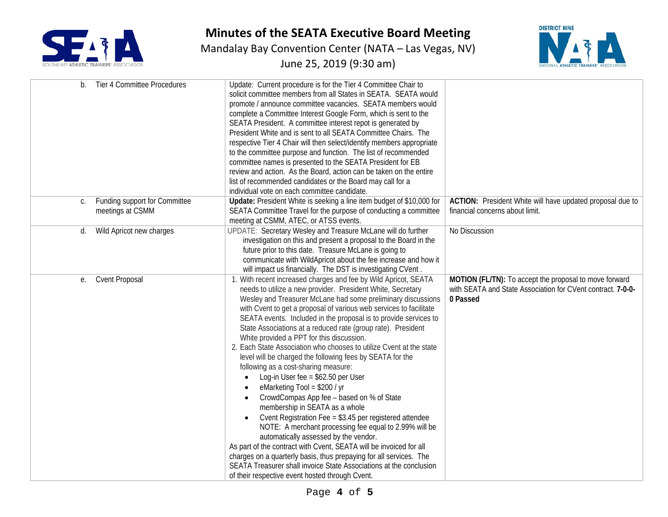

Mandalay Bay Convention Center (NATA – Las Vegas, NV)

June 25, 2019 (9:30 am)



| b. | Tier 4 Committee Procedures                       | Update: Current procedure is for the Tier 4 Committee Chair to<br>solicit committee members from all States in SEATA. SEATA would<br>promote / announce committee vacancies. SEATA members would<br>complete a Committee Interest Google Form, which is sent to the<br>SEATA President. A committee interest repot is generated by<br>President White and is sent to all SEATA Committee Chairs. The<br>respective Tier 4 Chair will then select/identify members appropriate<br>to the committee purpose and function. The list of recommended<br>committee names is presented to the SEATA President for EB<br>review and action. As the Board, action can be taken on the entire<br>list of recommended candidates or the Board may call for a<br>individual vote on each committee candidate.                                                                                                                                                                                                                                                                                                                                                                                                                                                     |                                                                                                                                   |
|----|---------------------------------------------------|-------------------------------------------------------------------------------------------------------------------------------------------------------------------------------------------------------------------------------------------------------------------------------------------------------------------------------------------------------------------------------------------------------------------------------------------------------------------------------------------------------------------------------------------------------------------------------------------------------------------------------------------------------------------------------------------------------------------------------------------------------------------------------------------------------------------------------------------------------------------------------------------------------------------------------------------------------------------------------------------------------------------------------------------------------------------------------------------------------------------------------------------------------------------------------------------------------------------------------------------------------|-----------------------------------------------------------------------------------------------------------------------------------|
| C. | Funding support for Committee<br>meetings at CSMM | Update: President White is seeking a line item budget of \$10,000 for<br>SEATA Committee Travel for the purpose of conducting a committee<br>meeting at CSMM, ATEC, or ATSS events.                                                                                                                                                                                                                                                                                                                                                                                                                                                                                                                                                                                                                                                                                                                                                                                                                                                                                                                                                                                                                                                                   | ACTION: President White will have updated proposal due to<br>financial concerns about limit.                                      |
| d. | Wild Apricot new charges                          | UPDATE: Secretary Wesley and Treasure McLane will do further<br>investigation on this and present a proposal to the Board in the<br>future prior to this date. Treasure McLane is going to<br>communicate with WildApricot about the fee increase and how it<br>will impact us financially. The DST is investigating CVent.                                                                                                                                                                                                                                                                                                                                                                                                                                                                                                                                                                                                                                                                                                                                                                                                                                                                                                                           | No Discussion                                                                                                                     |
| е. | <b>Cvent Proposal</b>                             | 1. With recent increased charges and fee by Wild Apricot, SEATA<br>needs to utilize a new provider. President White, Secretary<br>Wesley and Treasurer McLane had some preliminary discussions<br>with Cvent to get a proposal of various web services to facilitate<br>SEATA events. Included in the proposal is to provide services to<br>State Associations at a reduced rate (group rate). President<br>White provided a PPT for this discussion.<br>2. Each State Association who chooses to utilize Cvent at the state<br>level will be charged the following fees by SEATA for the<br>following as a cost-sharing measure:<br>Log-in User fee = $$62.50$ per User<br>$\bullet$<br>eMarketing Tool = $$200 / yr$<br>CrowdCompas App fee - based on % of State<br>$\bullet$<br>membership in SEATA as a whole<br>Cvent Registration Fee = \$3.45 per registered attendee<br>NOTE: A merchant processing fee equal to 2.99% will be<br>automatically assessed by the vendor.<br>As part of the contract with Cvent, SEATA will be invoiced for all<br>charges on a quarterly basis, thus prepaying for all services. The<br>SEATA Treasurer shall invoice State Associations at the conclusion<br>of their respective event hosted through Cvent. | MOTION (FL/TN): To accept the proposal to move forward<br>with SEATA and State Association for CVent contract. 7-0-0-<br>0 Passed |